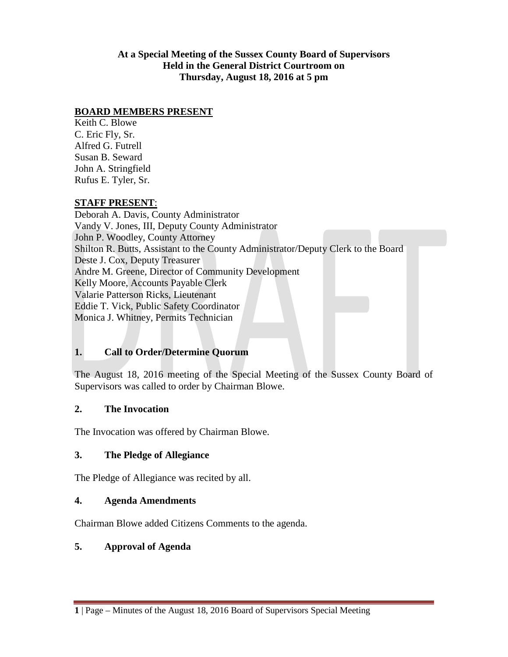**At a Special Meeting of the Sussex County Board of Supervisors Held in the General District Courtroom on Thursday, August 18, 2016 at 5 pm**

#### **BOARD MEMBERS PRESENT**

Keith C. Blowe C. Eric Fly, Sr. Alfred G. Futrell Susan B. Seward John A. Stringfield Rufus E. Tyler, Sr.

#### **STAFF PRESENT**:

Deborah A. Davis, County Administrator Vandy V. Jones, III, Deputy County Administrator John P. Woodley, County Attorney Shilton R. Butts, Assistant to the County Administrator/Deputy Clerk to the Board Deste J. Cox, Deputy Treasurer Andre M. Greene, Director of Community Development Kelly Moore, Accounts Payable Clerk Valarie Patterson Ricks, Lieutenant Eddie T. Vick, Public Safety Coordinator Monica J. Whitney, Permits Technician

# **1. Call to Order/Determine Quorum**

The August 18, 2016 meeting of the Special Meeting of the Sussex County Board of Supervisors was called to order by Chairman Blowe.

# **2. The Invocation**

The Invocation was offered by Chairman Blowe.

# **3. The Pledge of Allegiance**

The Pledge of Allegiance was recited by all.

#### **4. Agenda Amendments**

Chairman Blowe added Citizens Comments to the agenda.

# **5. Approval of Agenda**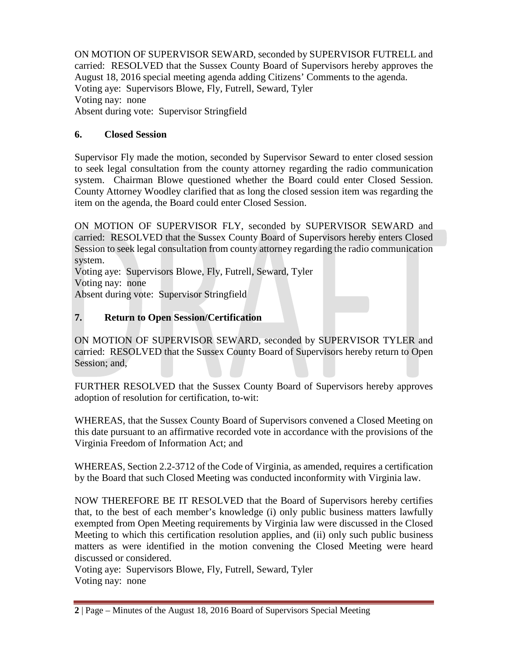ON MOTION OF SUPERVISOR SEWARD, seconded by SUPERVISOR FUTRELL and carried: RESOLVED that the Sussex County Board of Supervisors hereby approves the August 18, 2016 special meeting agenda adding Citizens' Comments to the agenda. Voting aye: Supervisors Blowe, Fly, Futrell, Seward, Tyler Voting nay: none Absent during vote: Supervisor Stringfield

# **6. Closed Session**

Supervisor Fly made the motion, seconded by Supervisor Seward to enter closed session to seek legal consultation from the county attorney regarding the radio communication system. Chairman Blowe questioned whether the Board could enter Closed Session. County Attorney Woodley clarified that as long the closed session item was regarding the item on the agenda, the Board could enter Closed Session.

ON MOTION OF SUPERVISOR FLY, seconded by SUPERVISOR SEWARD and carried: RESOLVED that the Sussex County Board of Supervisors hereby enters Closed Session to seek legal consultation from county attorney regarding the radio communication system.

Voting aye: Supervisors Blowe, Fly, Futrell, Seward, Tyler Voting nay: none Absent during vote: Supervisor Stringfield

# **7. Return to Open Session/Certification**

ON MOTION OF SUPERVISOR SEWARD, seconded by SUPERVISOR TYLER and carried: RESOLVED that the Sussex County Board of Supervisors hereby return to Open Session; and,

FURTHER RESOLVED that the Sussex County Board of Supervisors hereby approves adoption of resolution for certification, to-wit:

WHEREAS, that the Sussex County Board of Supervisors convened a Closed Meeting on this date pursuant to an affirmative recorded vote in accordance with the provisions of the Virginia Freedom of Information Act; and

WHEREAS, Section 2.2-3712 of the Code of Virginia, as amended, requires a certification by the Board that such Closed Meeting was conducted inconformity with Virginia law.

NOW THEREFORE BE IT RESOLVED that the Board of Supervisors hereby certifies that, to the best of each member's knowledge (i) only public business matters lawfully exempted from Open Meeting requirements by Virginia law were discussed in the Closed Meeting to which this certification resolution applies, and (ii) only such public business matters as were identified in the motion convening the Closed Meeting were heard discussed or considered.

Voting aye: Supervisors Blowe, Fly, Futrell, Seward, Tyler Voting nay: none

**<sup>2</sup>** | Page – Minutes of the August 18, 2016 Board of Supervisors Special Meeting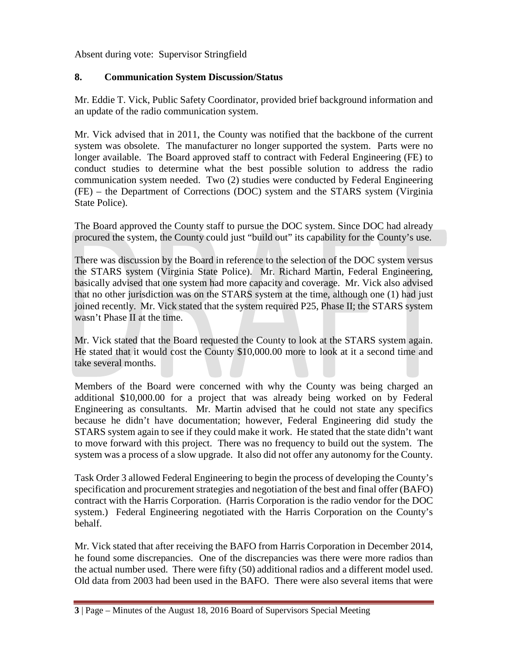Absent during vote: Supervisor Stringfield

# **8. Communication System Discussion/Status**

Mr. Eddie T. Vick, Public Safety Coordinator, provided brief background information and an update of the radio communication system.

Mr. Vick advised that in 2011, the County was notified that the backbone of the current system was obsolete. The manufacturer no longer supported the system. Parts were no longer available. The Board approved staff to contract with Federal Engineering (FE) to conduct studies to determine what the best possible solution to address the radio communication system needed. Two (2) studies were conducted by Federal Engineering (FE) – the Department of Corrections (DOC) system and the STARS system (Virginia State Police).

The Board approved the County staff to pursue the DOC system. Since DOC had already procured the system, the County could just "build out" its capability for the County's use.

There was discussion by the Board in reference to the selection of the DOC system versus the STARS system (Virginia State Police). Mr. Richard Martin, Federal Engineering, basically advised that one system had more capacity and coverage. Mr. Vick also advised that no other jurisdiction was on the STARS system at the time, although one (1) had just joined recently. Mr. Vick stated that the system required P25, Phase II; the STARS system wasn't Phase II at the time.

Mr. Vick stated that the Board requested the County to look at the STARS system again. He stated that it would cost the County \$10,000.00 more to look at it a second time and take several months.

Members of the Board were concerned with why the County was being charged an additional \$10,000.00 for a project that was already being worked on by Federal Engineering as consultants. Mr. Martin advised that he could not state any specifics because he didn't have documentation; however, Federal Engineering did study the STARS system again to see if they could make it work. He stated that the state didn't want to move forward with this project. There was no frequency to build out the system. The system was a process of a slow upgrade. It also did not offer any autonomy for the County.

Task Order 3 allowed Federal Engineering to begin the process of developing the County's specification and procurement strategies and negotiation of the best and final offer (BAFO) contract with the Harris Corporation. (Harris Corporation is the radio vendor for the DOC system.) Federal Engineering negotiated with the Harris Corporation on the County's behalf.

Mr. Vick stated that after receiving the BAFO from Harris Corporation in December 2014, he found some discrepancies. One of the discrepancies was there were more radios than the actual number used. There were fifty (50) additional radios and a different model used. Old data from 2003 had been used in the BAFO. There were also several items that were

**<sup>3</sup>** | Page – Minutes of the August 18, 2016 Board of Supervisors Special Meeting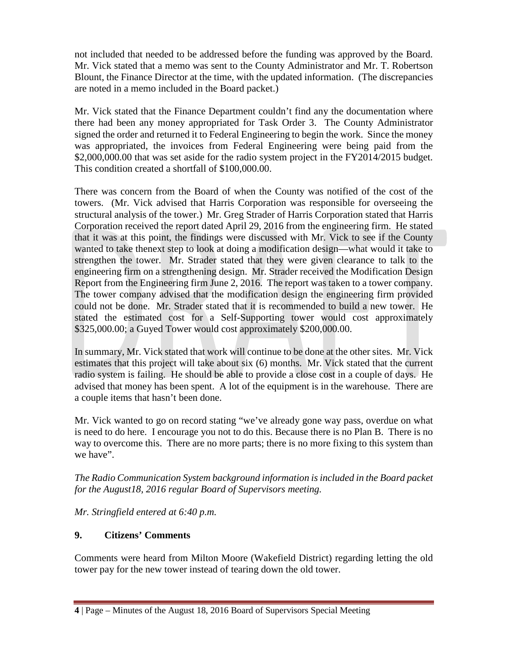not included that needed to be addressed before the funding was approved by the Board. Mr. Vick stated that a memo was sent to the County Administrator and Mr. T. Robertson Blount, the Finance Director at the time, with the updated information. (The discrepancies are noted in a memo included in the Board packet.)

Mr. Vick stated that the Finance Department couldn't find any the documentation where there had been any money appropriated for Task Order 3. The County Administrator signed the order and returned it to Federal Engineering to begin the work. Since the money was appropriated, the invoices from Federal Engineering were being paid from the \$2,000,000.00 that was set aside for the radio system project in the FY2014/2015 budget. This condition created a shortfall of \$100,000.00.

There was concern from the Board of when the County was notified of the cost of the towers. (Mr. Vick advised that Harris Corporation was responsible for overseeing the structural analysis of the tower.) Mr. Greg Strader of Harris Corporation stated that Harris Corporation received the report dated April 29, 2016 from the engineering firm. He stated that it was at this point, the findings were discussed with Mr. Vick to see if the County wanted to take thenext step to look at doing a modification design—what would it take to strengthen the tower. Mr. Strader stated that they were given clearance to talk to the engineering firm on a strengthening design. Mr. Strader received the Modification Design Report from the Engineering firm June 2, 2016. The report was taken to a tower company. The tower company advised that the modification design the engineering firm provided could not be done. Mr. Strader stated that it is recommended to build a new tower. He stated the estimated cost for a Self-Supporting tower would cost approximately \$325,000.00; a Guyed Tower would cost approximately \$200,000.00.

In summary, Mr. Vick stated that work will continue to be done at the other sites. Mr. Vick estimates that this project will take about six (6) months. Mr. Vick stated that the current radio system is failing. He should be able to provide a close cost in a couple of days. He advised that money has been spent. A lot of the equipment is in the warehouse. There are a couple items that hasn't been done.

Mr. Vick wanted to go on record stating "we've already gone way pass, overdue on what is need to do here. I encourage you not to do this. Because there is no Plan B. There is no way to overcome this. There are no more parts; there is no more fixing to this system than we have".

*The Radio Communication System background information is included in the Board packet for the August18, 2016 regular Board of Supervisors meeting.*

*Mr. Stringfield entered at 6:40 p.m.*

# **9. Citizens' Comments**

Comments were heard from Milton Moore (Wakefield District) regarding letting the old tower pay for the new tower instead of tearing down the old tower.